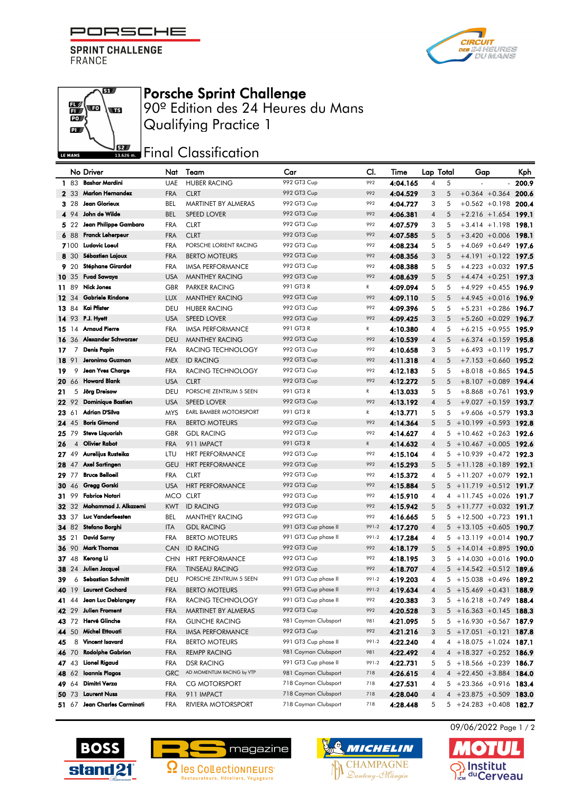PORSCHE F

**SPRINT CHALLENGE** FRANCE





## Porsche Sprint Challenge

90º Edition des 24 Heures du Mans Qualifying Practice 1

## **JEZY** Final Classification

|     |              | No Driver                  | Nat        | Team                      | Car                  | CI.          | Time     | Lap Total |   | Gap                        | Kph   |
|-----|--------------|----------------------------|------------|---------------------------|----------------------|--------------|----------|-----------|---|----------------------------|-------|
|     | 1 83         | <b>Bashar Mardini</b>      | <b>UAE</b> | <b>HUBER RACING</b>       | 992 GT3 Cup          | 992          | 4:04.165 | 4         | 5 |                            | 200.9 |
|     | 2 33         | Marlon Hernandez           | <b>FRA</b> | <b>CLRT</b>               | 992 GT3 Cup          | 992          | 4:04.529 | 3         | 5 | $+0.364 + 0.364$           | 200.6 |
|     | 3.28         | Jean Glorieux              | <b>BEL</b> | MARTINET BY ALMERAS       | 992 GT3 Cup          | 992          | 4:04.727 | 3         | 5 | $+0.562 +0.198$            | 200.4 |
|     | 4 94         | John de Wilde              | <b>BEL</b> | <b>SPEED LOVER</b>        | 992 GT3 Cup          | 992          | 4:06.381 | 4         | 5 | $+2.216 + 1.654$ 199.1     |       |
|     | 522          | Jean Philippe Gambaro      | <b>FRA</b> | <b>CLRT</b>               | 992 GT3 Cup          | 992          | 4:07.579 | 3         | 5 | $+3.414 + 1.198$ 198.1     |       |
|     | 6 88         | <b>Franck Leherpeur</b>    | <b>FRA</b> | <b>CLRT</b>               | 992 GT3 Cup          | 992          | 4:07.585 | 5         | 5 | $+3.420 + 0.006$ 198.1     |       |
|     | 7100         | Ludovic Loeul              | <b>FRA</b> | PORSCHE LORIENT RACING    | 992 GT3 Cup          | 992          | 4:08.234 | 5         | 5 | $+4.069 + 0.649$ 197.6     |       |
|     | 8 30         | <b>Sébastien Lajoux</b>    | <b>FRA</b> | <b>BERTO MOTEURS</b>      | 992 GT3 Cup          | 992          | 4:08.356 | 3         | 5 | $+4.191 + 0.122$ 197.5     |       |
|     | 9 20         | <b>Stéphane Girardot</b>   | <b>FRA</b> | <b>IMSA PERFORMANCE</b>   | 992 GT3 Cup          | 992          | 4:08.388 | 5         | 5 | $+4.223 +0.032$ 197.5      |       |
|     | 10 35        | <b>Fuad Sawaya</b>         | <b>USA</b> | <b>MANTHEY RACING</b>     | 992 GT3 Cup          | 992          | 4:08.639 | 5         | 5 | $+4.474 + 0.251$ 197.3     |       |
| 11  | -89          | <b>Nick Jones</b>          | <b>GBR</b> | <b>PARKER RACING</b>      | 991 GT3 R            | R            | 4:09.094 | 5         | 5 | $+4.929 + 0.455$ 196.9     |       |
|     | <b>12</b> 34 | <b>Gabriele Rindone</b>    | <b>LUX</b> | <b>MANTHEY RACING</b>     | 992 GT3 Cup          | 992          | 4:09.110 | 5         | 5 | $+4.945 +0.016$ 196.9      |       |
|     | 13 84        | Kai Pfister                | DEU        | <b>HUBER RACING</b>       | 992 GT3 Cup          | 992          | 4:09.396 | 5         | 5 | $+5.231 + 0.286$ 196.7     |       |
|     |              | 14 93 P.J. Hyett           | <b>USA</b> | <b>SPEED LOVER</b>        | 992 GT3 Cup          | 992          | 4:09.425 | 3         | 5 | $+5.260 + 0.029$ 196.7     |       |
| 15. | 14           | <b>Arnaud Pierre</b>       | <b>FRA</b> | <b>IMSA PERFORMANCE</b>   | 991 GT3 R            | R            | 4:10.380 | 4         | 5 | $+6.215 + 0.955$ 195.9     |       |
|     | 16 36        | <b>Alexander Schwarzer</b> | <b>DEU</b> | <b>MANTHEY RACING</b>     | 992 GT3 Cup          | 992          | 4:10.539 | 4         | 5 | $+6.374 +0.159$ 195.8      |       |
| 17  | 7            | <b>Denis Papin</b>         | <b>FRA</b> | RACING TECHNOLOGY         | 992 GT3 Cup          | 992          | 4:10.658 | 3         | 5 | $+6.493 +0.119$ 195.7      |       |
| 18  | 91           | Jeronimo Guzman            | <b>MEX</b> | <b>ID RACING</b>          | 992 GT3 Cup          | 992          | 4:11.318 | 4         | 5 | $+7.153 + 0.660$ 195.2     |       |
| 19  | 9            | Jean Yves Charge           | <b>FRA</b> | RACING TECHNOLOGY         | 992 GT3 Cup          | 992          | 4:12.183 | 5         | 5 | $+8.018 + 0.865$ 194.5     |       |
| 20  | 66           | <b>Howard Blank</b>        | <b>USA</b> | <b>CLRT</b>               | 992 GT3 Cup          | 992          | 4:12.272 | 5         | 5 | $+8.107 + 0.089$ 194.4     |       |
| 21  | 5            | Jörg Dreisow               | <b>DEU</b> | PORSCHE ZENTRUM 5 SEEN    | 991 GT3 R            | R            | 4:13.033 | 5         | 5 | $+8.868 + 0.761$ 193.9     |       |
|     | 22 92        | <b>Dominique Bastien</b>   | <b>USA</b> | <b>SPEED LOVER</b>        | 992 GT3 Cup          | 992          | 4:13.192 | 4         | 5 | $+9.027 + 0.159$ 193.7     |       |
|     | 23 61        | Adrian D'Silva             | <b>MYS</b> | EARL BAMBER MOTORSPORT    | 991 GT3 R            | R            | 4:13.771 | 5         | 5 | $+9.606 + 0.579$ 193.3     |       |
|     | 24 45        | <b>Boris Gimond</b>        | <b>FRA</b> | <b>BERTO MOTEURS</b>      | 992 GT3 Cup          | 992          | 4:14.364 | 5         | 5 | $+10.199 + 0.593$ 192.8    |       |
| 25  | 79           | <b>Steve Liquorish</b>     | GBR        | <b>GDL RACING</b>         | 992 GT3 Cup          | 992          | 4:14.627 | 4         | 5 | $+10.462 + 0.263$ 192.6    |       |
| 26  |              | 4 Olivier Rabot            | <b>FRA</b> | 911 IMPACT                | 991 GT3 R            | $\mathbb{R}$ | 4:14.632 | 4         | 5 | $+10.467 + 0.005$ 192.6    |       |
|     | 27 49        | Aurelijus Rusteika         | LTU        | <b>HRT PERFORMANCE</b>    | 992 GT3 Cup          | 992          | 4:15.104 | 4         | 5 | $+10.939 + 0.472$ 192.3    |       |
|     | 28 47        | Axel Sartingen             | <b>GEU</b> | <b>HRT PERFORMANCE</b>    | 992 GT3 Cup          | 992          | 4:15.293 | 5         | 5 | $+11.128 +0.189$ 192.1     |       |
|     | 29 77        | <b>Bruce Belloeil</b>      | <b>FRA</b> | <b>CLRT</b>               | 992 GT3 Cup          | 992          | 4:15.372 | 4         | 5 | $+11.207 + 0.079$          | 192.1 |
|     | <b>30</b> 46 | Gregg Gorski               | <b>USA</b> | <b>HRT PERFORMANCE</b>    | 992 GT3 Cup          | 992          | 4:15.884 | 5         | 5 | $+11.719 + 0.512$ 191.7    |       |
| 31  | 99           | <b>Fabrice Notari</b>      | <b>MCO</b> | <b>CLRT</b>               | 992 GT3 Cup          | 992          | 4:15.910 | 4         | 4 | $+11.745 +0.026$ 191.7     |       |
|     | <b>32</b> 32 | Mohammad J. Alkazemi       | <b>KWT</b> | <b>ID RACING</b>          | 992 GT3 Cup          | 992          | 4:15.942 | 5         | 5 | $+11.777 + 0.032$ 191.7    |       |
|     | 33 37        | Luc Vanderfeesten          | BEL        | <b>MANTHEY RACING</b>     | 992 GT3 Cup          | 992          | 4:16.665 | 5         | 5 | $+12,500$ +0.723 191.1     |       |
|     | 34 82        | Stefano Borghi             | <b>ITA</b> | <b>GDL RACING</b>         | 991 GT3 Cup phase II | 991-2        | 4:17.270 | 4         | 5 | $+13.105 + 0.605$ 190.7    |       |
|     | 35 21        | <b>David Sarny</b>         | <b>FRA</b> | <b>BERTO MOTEURS</b>      | 991 GT3 Cup phase II | 991-2        | 4:17.284 | 4         | 5 | $+13.119 + 0.014$ 190.7    |       |
|     | 36 90        | Mark Thomas                | <b>CAN</b> | <b>ID RACING</b>          | 992 GT3 Cup          | 992          | 4:18.179 | 5         | 5 | $+14.014 + 0.895$ 190.0    |       |
|     | 37 48        | Kerong Li                  | <b>CHN</b> | <b>HRT PERFORMANCE</b>    | 992 GT3 Cup          | 992          | 4:18.195 | 3         | 5 | $+14.030 + 0.016$ 190.0    |       |
| 38  | 24           | Julien Jacquel             | <b>FRA</b> | <b>TINSEAU RACING</b>     | 992 GT3 Cup          | 992          | 4:18.707 | 4         | 5 | $+14.542 + 0.512$ 189.6    |       |
| 39  |              | 6 Sebastian Schmitt        | DEU        | PORSCHE ZENTRUM 5 SEEN    | 991 GT3 Cup phase II | 991-2        | 4:19.203 | 4         | 5 | $+15.038 + 0.496$ 189.2    |       |
|     | 40 19        | <b>Laurent Cochard</b>     | <b>FRA</b> | <b>BERTO MOTEURS</b>      | 991 GT3 Cup phase II | 991-2        | 4:19.634 | 4         | 5 | $+15.469 + 0.431$ 188.9    |       |
|     | 41 44        | Jean Luc Deblangey         | FRA        | RACING TECHNOLOGY         | 991 GT3 Cup phase II | 992          | 4:20.383 | 3         |   | $5 + 16.218 + 0.749$ 188.4 |       |
|     | 42 29        | Julien Froment             | <b>FRA</b> | MARTINET BY ALMERAS       | 992 GT3 Cup          | 992          | 4:20.528 | 3         | 5 | $+16.363 +0.145$ 188.3     |       |
|     | 43 72        | Hervé Glinche              | <b>FRA</b> | <b>GLINCHE RACING</b>     | 981 Cayman Clubsport | 981          | 4:21.095 | 5         | 5 | $+16.930 + 0.567$ 187.9    |       |
|     | 44 50        | <b>Michel Ettouati</b>     | <b>FRA</b> | <b>IMSA PERFORMANCE</b>   | 992 GT3 Cup          | 992          | 4:21.216 | 3         |   | $5 + 17.051 + 0.121$ 187.8 |       |
| 45  |              | 8 Vincent Isavard          | <b>FRA</b> | <b>BERTO MOTEURS</b>      | 991 GT3 Cup phase II | 991-2        | 4:22.240 | 4         | 4 | $+18.075 + 1.024$ 187.1    |       |
|     | 46 70        | <b>Rodolphe Gabrion</b>    | <b>FRA</b> | <b>REMPP RACING</b>       | 981 Cayman Clubsport | 981          | 4:22.492 | 4         |   | $4 + 18.327 + 0.252$ 186.9 |       |
|     | 47 43        | Lionel Rigaud              | <b>FRA</b> | <b>DSR RACING</b>         | 991 GT3 Cup phase II | 991-2        | 4:22.731 | 5         | 5 | $+18.566 + 0.239$ 186.7    |       |
|     | 48 62        | <b>Ioannis Plagos</b>      | GRC        | AD MOMENTUM RACING by VTP | 981 Cayman Clubsport | 718          | 4:26.615 | 4         |   | $4 +22.450 +3.884$ 184.0   |       |
|     | 49 64        | Dimitri Verza              | <b>FRA</b> | CG MOTORSPORT             | 718 Cayman Clubsport | 718          | 4:27.531 | 4         | 5 | $+23.366 + 0.916$ 183.4    |       |
|     | 50 73        | <b>Laurent Nuss</b>        | <b>FRA</b> | 911 IMPACT                | 718 Cayman Clubsport | 718          | 4:28.040 | 4         | 4 | $+23.875 +0.509$ 183.0     |       |
|     | 51 67        | Jean Charles Carminati     | <b>FRA</b> | RIVIERA MOTORSPORT        | 718 Cayman Clubsport | 718          | 4:28.448 | 5         |   | $5 + 24.283 + 0.408$ 182.7 |       |